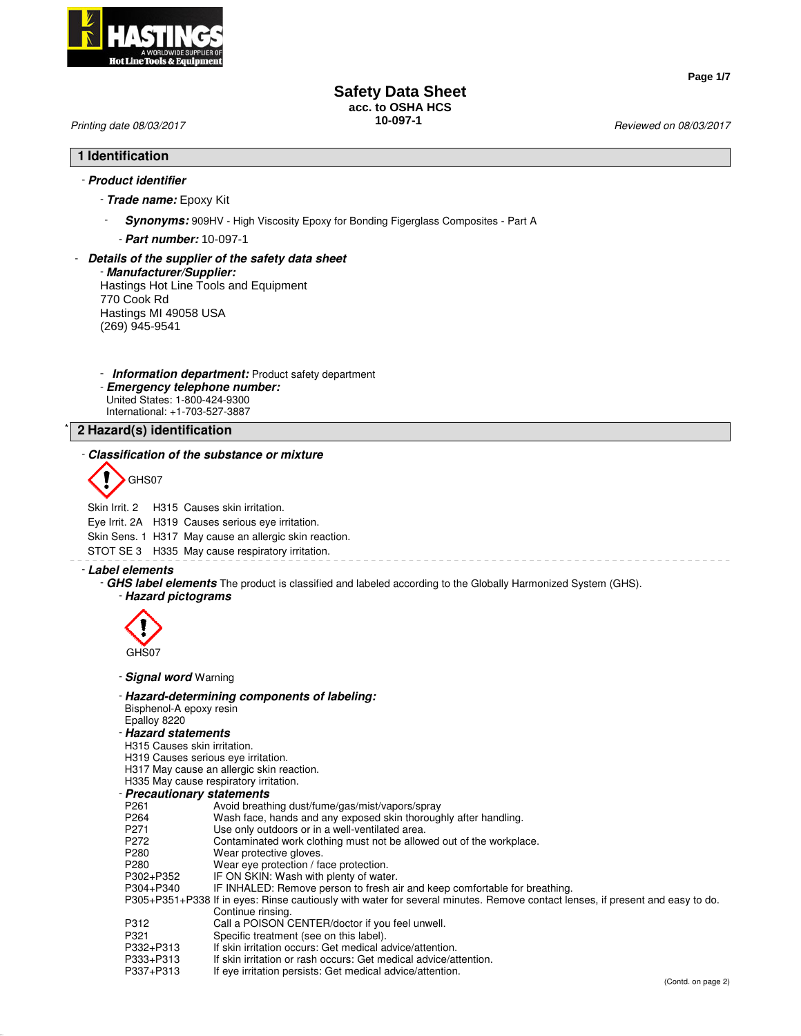

**Page 1/7**

# **Safety Data Sheet acc. to OSHA HCS Printing date 08/03/2017 10-097-1 10-097-1 10-097-1** *Reviewed on 08/03/2017*

## **1 Identification**

## - **Product identifier**

## - **Trade name:** Epoxy Kit

- **Synonyms:** 909HV High Viscosity Epoxy for Bonding Figerglass Composites Part A
	- **Part number:** 10-097-1

## - **Details of the supplier of the safety data sheet** - **Manufacturer/Supplier:** Hastings Hot Line Tools and Equipment 770 Cook Rd Hastings MI 49058 USA (269) 945-9541

 - **Information department:** Product safety department - **Emergency telephone number:** United States: 1-800-424-9300 International: +1-703-527-3887

\* **2 Hazard(s) identification**

## - **Classification of the substance or mixture**

GHS07

Skin Irrit. 2 H315 Causes skin irritation.

Eye Irrit. 2A H319 Causes serious eye irritation.

Skin Sens. 1 H317 May cause an allergic skin reaction.

STOT SE 3 H335 May cause respiratory irritation.

- **Label elements**

- **GHS label elements** The product is classified and labeled according to the Globally Harmonized System (GHS).

- **Hazard pictograms**



- **Signal word** Warning

- **Hazard-determining components of labeling:** Bisphenol-A epoxy resin Epalloy 8220 - **Hazard statements** H315 Causes skin irritation. H319 Causes serious eye irritation. H317 May cause an allergic skin reaction. H335 May cause respiratory irritation. - **Precautionary statements**

| <b>Precautionary statements</b> |                                                                                                                               |
|---------------------------------|-------------------------------------------------------------------------------------------------------------------------------|
| P <sub>261</sub>                | Avoid breathing dust/fume/gas/mist/vapors/spray                                                                               |
| P <sub>264</sub>                | Wash face, hands and any exposed skin thoroughly after handling.                                                              |
| P <sub>271</sub>                | Use only outdoors or in a well-ventilated area.                                                                               |
| P272                            | Contaminated work clothing must not be allowed out of the workplace.                                                          |
| P <sub>280</sub>                | Wear protective gloves.                                                                                                       |
| P <sub>280</sub>                | Wear eve protection / face protection.                                                                                        |
| P302+P352                       | IF ON SKIN: Wash with plenty of water.                                                                                        |
| P304+P340                       | IF INHALED: Remove person to fresh air and keep comfortable for breathing.                                                    |
|                                 | P305+P351+P338 If in eyes: Rinse cautiously with water for several minutes. Remove contact lenses, if present and easy to do. |
|                                 | Continue rinsing.                                                                                                             |
| P312                            | Call a POISON CENTER/doctor if you feel unwell.                                                                               |
| P321                            | Specific treatment (see on this label).                                                                                       |
| P332+P313                       | If skin irritation occurs: Get medical advice/attention.                                                                      |
| P333+P313                       | If skin irritation or rash occurs: Get medical advice/attention.                                                              |
| P337+P313                       | If eye irritation persists: Get medical advice/attention.                                                                     |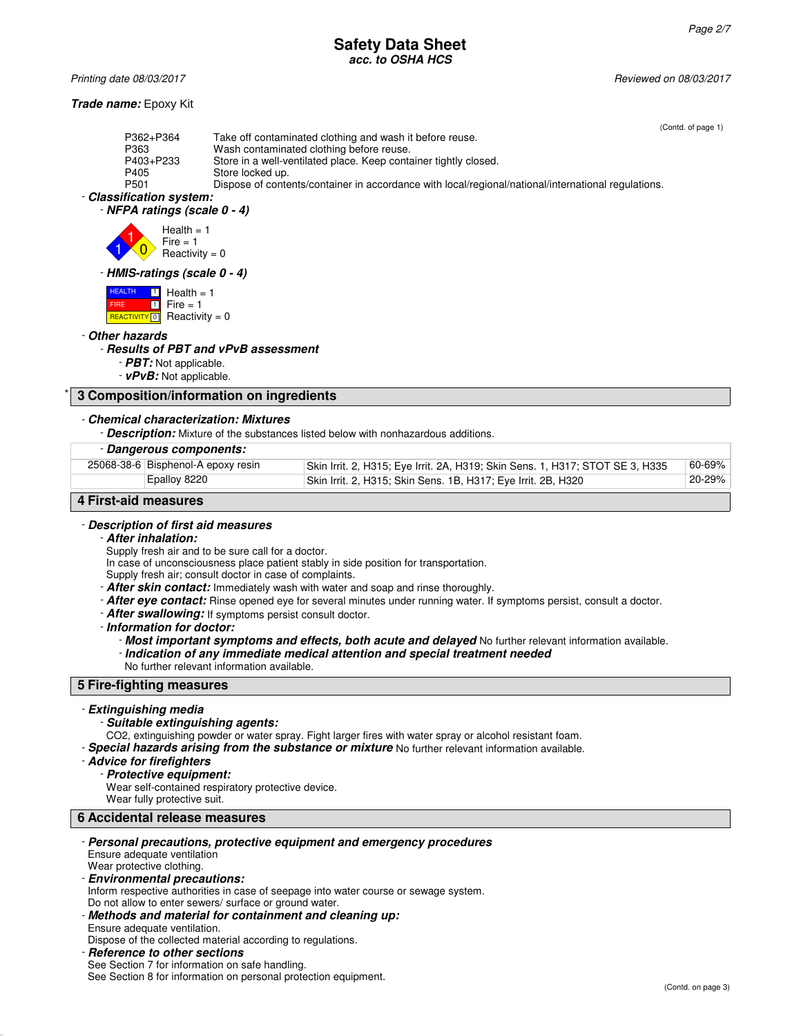## **Safety Data Sheet acc. to OSHA HCS**

Printing date 08/03/2017 Reviewed on 08/03/2017

## **Trade name:** Epoxy Kit

|                          |                                                                                                     | (Contd. of page 1) |
|--------------------------|-----------------------------------------------------------------------------------------------------|--------------------|
| P362+P364                | Take off contaminated clothing and wash it before reuse.                                            |                    |
| P363                     | Wash contaminated clothing before reuse.                                                            |                    |
| P403+P233                | Store in a well-ventilated place. Keep container tightly closed.                                    |                    |
| P405                     | Store locked up.                                                                                    |                    |
| P <sub>501</sub>         | Dispose of contents/container in accordance with local/regional/national/international regulations. |                    |
| - Classification system: |                                                                                                     |                    |

# - **NFPA ratings (scale 0 - 4)**



## - **HMIS-ratings (scale 0 - 4)**

 HEALTH FIRE **REACTIVITY** 0 **1** Health = 1  $\overline{1}$  $Fire = 1$ Reactivity  $= 0$ 

#### - **Other hazards**

### - **Results of PBT and vPvB assessment**

- **PBT:** Not applicable.

- **vPvB:** Not applicable.

## \* **3 Composition/information on ingredients**

## - **Chemical characterization: Mixtures**

- **Description:** Mixture of the substances listed below with nonhazardous additions.

## - **Dangerous components:**

| 25068-38-6 Bisphenol-A epoxy resin | Skin Irrit. 2, H315; Eye Irrit. 2A, H319; Skin Sens. 1, H317; STOT SE 3, H335 | $ 60-69%$ |
|------------------------------------|-------------------------------------------------------------------------------|-----------|
| Epalloy 8220                       | Skin Irrit. 2, H315; Skin Sens. 1B, H317; Eye Irrit. 2B, H320                 | 20-29%    |

### **4 First-aid measures**

- **Description of first aid measures**

#### - **After inhalation:**

Supply fresh air and to be sure call for a doctor.

In case of unconsciousness place patient stably in side position for transportation.

Supply fresh air; consult doctor in case of complaints.

- **After skin contact:** Immediately wash with water and soap and rinse thoroughly.
- **After eye contact:** Rinse opened eye for several minutes under running water. If symptoms persist, consult a doctor.
- **After swallowing:** If symptoms persist consult doctor.

- **Information for doctor:**

- **Most important symptoms and effects, both acute and delayed** No further relevant information available.
- **Indication of any immediate medical attention and special treatment needed**
- No further relevant information available.

## **5 Fire-fighting measures**

### - **Extinguishing media**

## - **Suitable extinguishing agents:**

CO2, extinguishing powder or water spray. Fight larger fires with water spray or alcohol resistant foam.

- **Special hazards arising from the substance or mixture** No further relevant information available.

#### - **Advice for firefighters**

- **Protective equipment:**

Wear self-contained respiratory protective device.

Wear fully protective suit.

## **6 Accidental release measures**

- **Personal precautions, protective equipment and emergency procedures** Ensure adequate ventilation

Wear protective clothing.

# - **Environmental precautions:**

Inform respective authorities in case of seepage into water course or sewage system.

- Do not allow to enter sewers/ surface or ground water.
- **Methods and material for containment and cleaning up:** Ensure adequate ventilation.

Dispose of the collected material according to regulations.

#### - **Reference to other sections**

See Section 7 for information on safe handling. See Section 8 for information on personal protection equipment.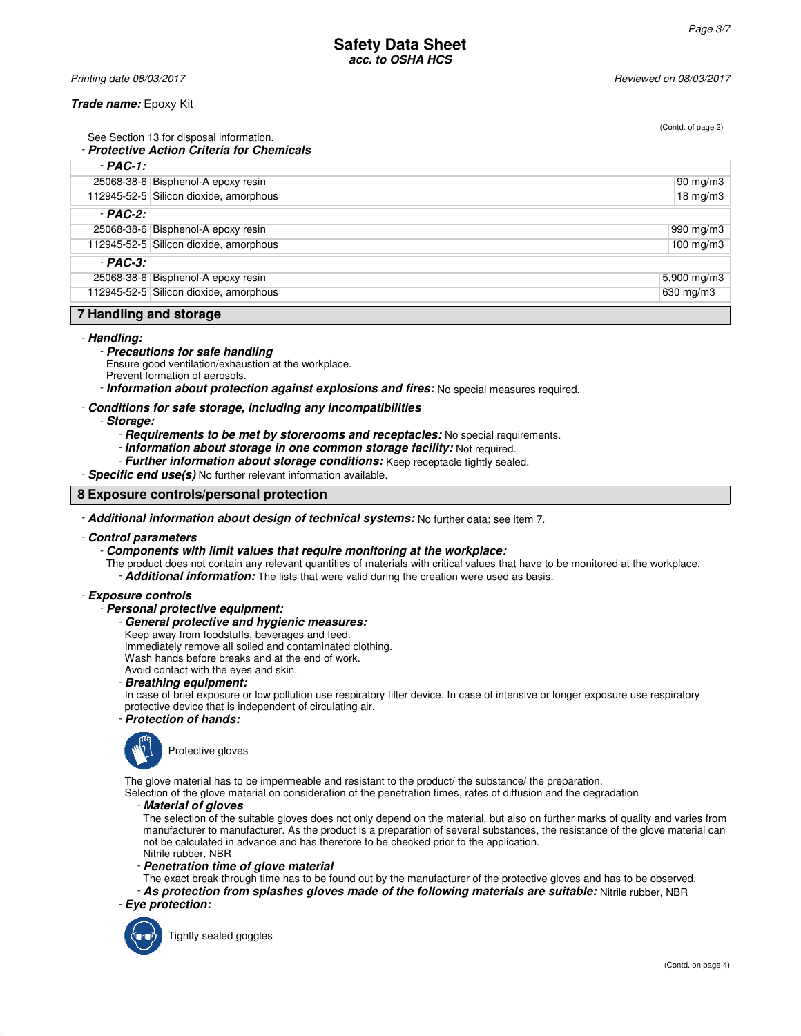#### **Trade name:** Epoxy Kit

|            | See Section 13 for disposal information.<br>- Protective Action Criteria for Chemicals | (Contd. of page 2) |
|------------|----------------------------------------------------------------------------------------|--------------------|
| $-$ PAC-1: |                                                                                        |                    |
|            | 25068-38-6 Bisphenol-A epoxy resin                                                     | $90 \text{ mg/m}$  |
|            | 112945-52-5 Silicon dioxide, amorphous                                                 | $18 \text{ mg/m}$  |
| $-$ PAC-2: |                                                                                        |                    |
|            | 25068-38-6 Bisphenol-A epoxy resin                                                     | 990 mg/m3          |
|            | 112945-52-5 Silicon dioxide, amorphous                                                 | 100 mg/m $3$       |
| $-$ PAC-3: |                                                                                        |                    |
|            | 25068-38-6 Bisphenol-A epoxy resin                                                     | 5,900 mg/m3        |
|            | 112945-52-5 Silicon dioxide, amorphous                                                 | 630 mg/m3          |

## **7 Handling and storage**

#### - **Handling:**

- **Precautions for safe handling** Ensure good ventilation/exhaustion at the workplace.

Prevent formation of aerosols. - **Information about protection against explosions and fires:** No special measures required.

- **Conditions for safe storage, including any incompatibilities**

#### - **Storage:**

- **Requirements to be met by storerooms and receptacles:** No special requirements.
- **Information about storage in one common storage facility:** Not required.
- **Further information about storage conditions:** Keep receptacle tightly sealed.
- **Specific end use(s)** No further relevant information available.

## **8 Exposure controls/personal protection**

- **Additional information about design of technical systems:** No further data; see item 7.

#### - **Control parameters**

- **Components with limit values that require monitoring at the workplace:**
- The product does not contain any relevant quantities of materials with critical values that have to be monitored at the workplace. - **Additional information:** The lists that were valid during the creation were used as basis.

## - **Exposure controls**

- **Personal protective equipment:**

## - **General protective and hygienic measures:**

- Keep away from foodstuffs, beverages and feed.
- Immediately remove all soiled and contaminated clothing.

Wash hands before breaks and at the end of work.

Avoid contact with the eyes and skin.

## - **Breathing equipment:**

In case of brief exposure or low pollution use respiratory filter device. In case of intensive or longer exposure use respiratory protective device that is independent of circulating air.

## - **Protection of hands:**



The glove material has to be impermeable and resistant to the product/ the substance/ the preparation.

Selection of the glove material on consideration of the penetration times, rates of diffusion and the degradation

#### - **Material of gloves**

The selection of the suitable gloves does not only depend on the material, but also on further marks of quality and varies from manufacturer to manufacturer. As the product is a preparation of several substances, the resistance of the glove material can not be calculated in advance and has therefore to be checked prior to the application. Nitrile rubber, NBR

- **Penetration time of glove material**

The exact break through time has to be found out by the manufacturer of the protective gloves and has to be observed.

As protection from splashes gloves made of the following materials are suitable: Nitrile rubber, NBR - **Eye protection:**



Tightly sealed goggles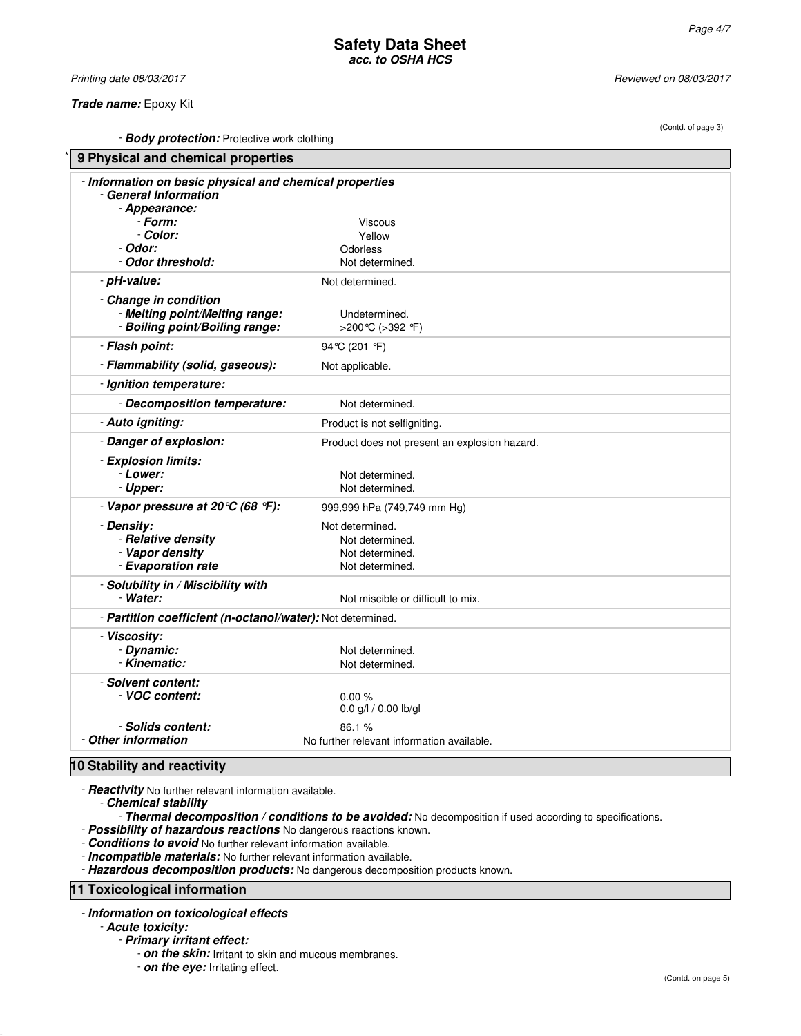Printing date 08/03/2017 **Printing date 08/03/2017** Reviewed on 08/03/2017

**Trade name:** Epoxy Kit

(Contd. of page 3)

| - <b>Body protection:</b> Protective work clothing                                                           |                                                                          |
|--------------------------------------------------------------------------------------------------------------|--------------------------------------------------------------------------|
| 9 Physical and chemical properties                                                                           |                                                                          |
| - Information on basic physical and chemical properties<br>- General Information<br>- Appearance:<br>- Form: | <b>Viscous</b>                                                           |
| - Color:                                                                                                     | Yellow                                                                   |
| - Odor:                                                                                                      | Odorless                                                                 |
| - Odor threshold:                                                                                            | Not determined.                                                          |
| - pH-value:                                                                                                  | Not determined.                                                          |
| - Change in condition<br>- Melting point/Melting range:<br>- Boiling point/Boiling range:                    | Undetermined.<br>>200 °C (>392 °F)                                       |
| - Flash point:                                                                                               | 94 °C (201 °F)                                                           |
| - Flammability (solid, gaseous):                                                                             | Not applicable.                                                          |
| - Ignition temperature:                                                                                      |                                                                          |
| - Decomposition temperature:                                                                                 | Not determined.                                                          |
| - Auto igniting:                                                                                             | Product is not selfigniting.                                             |
| - Danger of explosion:                                                                                       | Product does not present an explosion hazard.                            |
| - Explosion limits:<br>- Lower:<br>- Upper:                                                                  | Not determined.<br>Not determined.                                       |
| $\sim$ Vapor pressure at 20 °C (68 °F):                                                                      | 999,999 hPa (749,749 mm Hg)                                              |
| - Density:<br>- Relative density<br>- Vapor density<br>- Evaporation rate                                    | Not determined.<br>Not determined.<br>Not determined.<br>Not determined. |
| - Solubility in / Miscibility with<br>- Water:                                                               | Not miscible or difficult to mix.                                        |
| - Partition coefficient (n-octanol/water): Not determined.                                                   |                                                                          |
| - Viscosity:<br>- Dynamic:<br>- Kinematic:                                                                   | Not determined.<br>Not determined.                                       |
| - Solvent content:<br>VOC content:                                                                           | 0.00%<br>$0.0$ g/l $/ 0.00$ lb/gl                                        |
| - Solids content:<br>- Other information<br>$A = 1$ $A + 1$ $B + 1$ $C + 1$ $D + 1$ $D + 1$                  | 86.1%<br>No further relevant information available.                      |

## **10 Stability and reactivity**

- **Reactivity** No further relevant information available.

- **Chemical stability**

- **Thermal decomposition / conditions to be avoided:** No decomposition if used according to specifications.
- **Possibility of hazardous reactions** No dangerous reactions known.
- **Conditions to avoid** No further relevant information available.
- **Incompatible materials:** No further relevant information available.
- **Hazardous decomposition products:** No dangerous decomposition products known.

# **11 Toxicological information**

- **Information on toxicological effects**

- **Acute toxicity:**

- **Primary irritant effect:**

- **on the skin:** Irritant to skin and mucous membranes.
- **on the eye:** Irritating effect.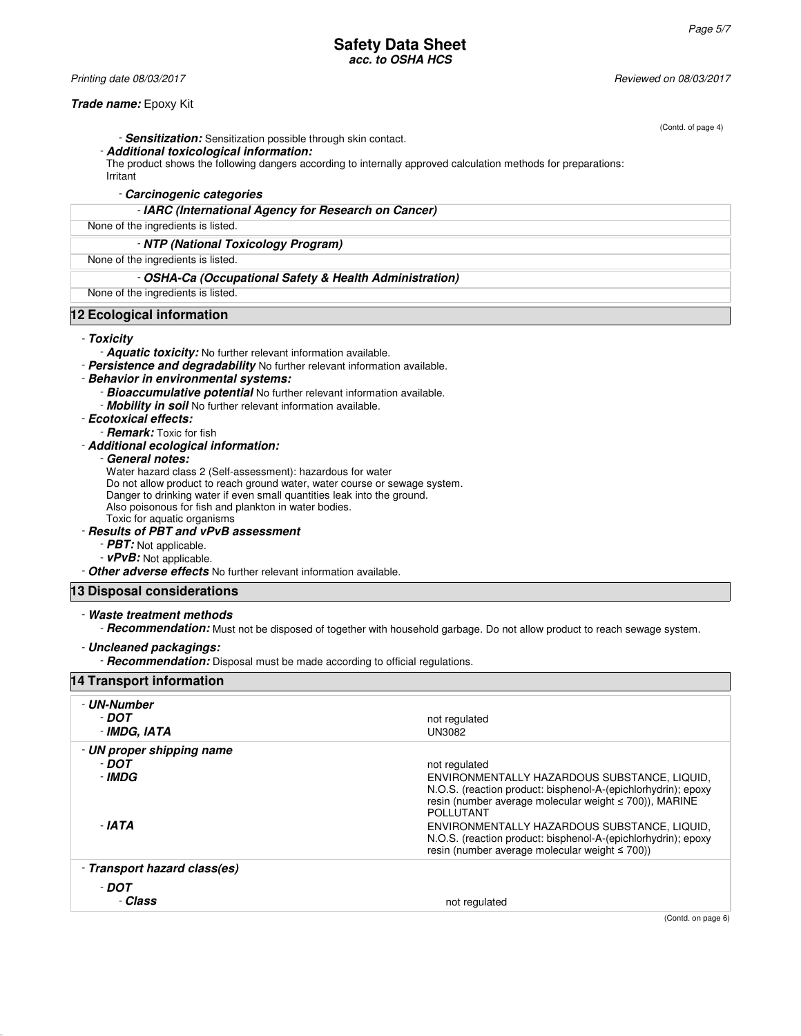## **Safety Data Sheet acc. to OSHA HCS**

Printing date 08/03/2017 **Printing date 08/03/2017** and the state of the state of the state of the state of the state of the state of the state of the state of the state of the state of the state of the state of the state

## **Trade name:** Epoxy Kit

- **Sensitization:** Sensitization possible through skin contact.

#### - **Additional toxicological information:**

The product shows the following dangers according to internally approved calculation methods for preparations: Irritant

# - **Carcinogenic categories**

- **IARC (International Agency for Research on Cancer)**

None of the ingredients is listed.

- **NTP (National Toxicology Program)**

None of the ingredients is listed.

### - **OSHA-Ca (Occupational Safety & Health Administration)**

None of the ingredients is listed.

## **12 Ecological information**

### - **Toxicity**

- **Aquatic toxicity:** No further relevant information available.

- **Persistence and degradability** No further relevant information available.

### - **Behavior in environmental systems:**

- **Bioaccumulative potential** No further relevant information available.

- **Mobility in soil** No further relevant information available.

- **Ecotoxical effects:**

- **Remark:** Toxic for fish

#### - **Additional ecological information:**

#### - **General notes:**

Water hazard class 2 (Self-assessment): hazardous for water

Do not allow product to reach ground water, water course or sewage system.

Danger to drinking water if even small quantities leak into the ground.

Also poisonous for fish and plankton in water bodies.

Toxic for aquatic organisms

### - **Results of PBT and vPvB assessment**

- **PBT:** Not applicable.
- **vPvB:** Not applicable.

- **Other adverse effects** No further relevant information available.

## **13 Disposal considerations**

### - **Waste treatment methods**

- **Recommendation:** Must not be disposed of together with household garbage. Do not allow product to reach sewage system.

#### - **Uncleaned packagings:**

- **Recommendation:** Disposal must be made according to official regulations.

| 14 Transport information                               |                                                                                                                                                                                                                                                                                                                                                                                      |
|--------------------------------------------------------|--------------------------------------------------------------------------------------------------------------------------------------------------------------------------------------------------------------------------------------------------------------------------------------------------------------------------------------------------------------------------------------|
| - UN-Number<br>- DOT<br>- IMDG. IATA                   | not regulated<br>UN3082                                                                                                                                                                                                                                                                                                                                                              |
| - UN proper shipping name<br>- DOT<br>- IMDG<br>- IATA | not regulated<br>ENVIRONMENTALLY HAZARDOUS SUBSTANCE, LIQUID,<br>N.O.S. (reaction product: bisphenol-A-(epichlorhydrin); epoxy<br>resin (number average molecular weight ≤ 700)), MARINE<br><b>POLLUTANT</b><br>ENVIRONMENTALLY HAZARDOUS SUBSTANCE, LIQUID,<br>N.O.S. (reaction product: bisphenol-A-(epichlorhydrin); epoxy<br>resin (number average molecular weight $\leq$ 700)) |
| - Transport hazard class(es)<br>- DOT<br>- Class       | not regulated                                                                                                                                                                                                                                                                                                                                                                        |

(Contd. of page 4)

(Contd. on page 6)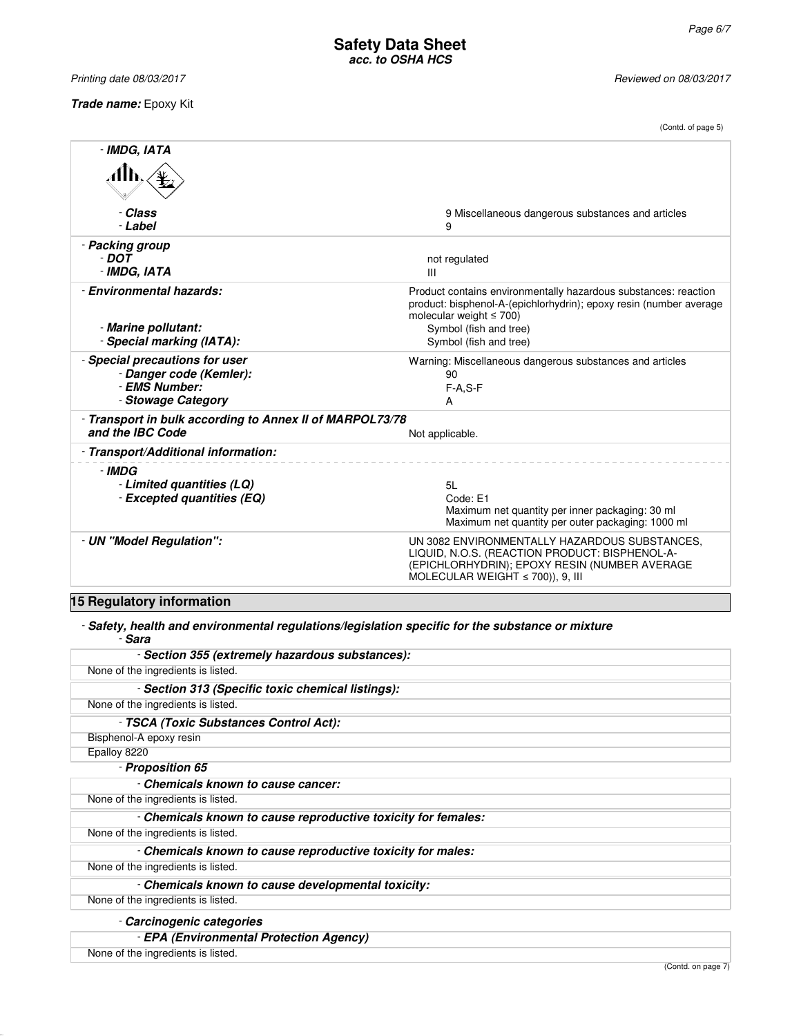Printing date 08/03/2017 Printing date 08/03/2017

**Trade name:** Epoxy Kit

|                                                                                                  | (Contd. of page 5)                                                                                                                                                                        |
|--------------------------------------------------------------------------------------------------|-------------------------------------------------------------------------------------------------------------------------------------------------------------------------------------------|
| - IMDG, IATA                                                                                     |                                                                                                                                                                                           |
|                                                                                                  |                                                                                                                                                                                           |
| - Class<br>- Label                                                                               | 9 Miscellaneous dangerous substances and articles<br>9                                                                                                                                    |
| - Packing group<br>- DOT<br>- IMDG, IATA                                                         | not regulated<br>III                                                                                                                                                                      |
| - Environmental hazards:                                                                         | Product contains environmentally hazardous substances: reaction<br>product: bisphenol-A-(epichlorhydrin); epoxy resin (number average<br>molecular weight $\leq 700$ )                    |
| - Marine pollutant:<br>- Special marking (IATA):                                                 | Symbol (fish and tree)<br>Symbol (fish and tree)                                                                                                                                          |
| - Special precautions for user<br>- Danger code (Kemler):<br>- EMS Number:<br>- Stowage Category | Warning: Miscellaneous dangerous substances and articles<br>90<br>$F-A.S-F$<br>A                                                                                                          |
| - Transport in bulk according to Annex II of MARPOL73/78<br>and the IBC Code                     | Not applicable.                                                                                                                                                                           |
| - Transport/Additional information:                                                              |                                                                                                                                                                                           |
| - IMDG<br>- Limited quantities (LQ)<br>- Excepted quantities (EQ)                                | 51<br>Code: E1<br>Maximum net quantity per inner packaging: 30 ml<br>Maximum net quantity per outer packaging: 1000 ml                                                                    |
| - UN "Model Regulation":                                                                         | UN 3082 ENVIRONMENTALLY HAZARDOUS SUBSTANCES,<br>LIQUID, N.O.S. (REACTION PRODUCT: BISPHENOL-A-<br>(EPICHLORHYDRIN); EPOXY RESIN (NUMBER AVERAGE<br>MOLECULAR WEIGHT $\leq$ 700)), 9, III |

# **15 Regulatory information**

- **Safety, health and environmental regulations/legislation specific for the substance or mixture** - **Sara**

| - Section 355 (extremely hazardous substances):               |  |
|---------------------------------------------------------------|--|
| None of the ingredients is listed.                            |  |
| - Section 313 (Specific toxic chemical listings):             |  |
| None of the ingredients is listed.                            |  |
| - TSCA (Toxic Substances Control Act):                        |  |
| Bisphenol-A epoxy resin                                       |  |
| Epalloy 8220                                                  |  |
| - Proposition 65                                              |  |
| - Chemicals known to cause cancer:                            |  |
| None of the ingredients is listed.                            |  |
| - Chemicals known to cause reproductive toxicity for females: |  |
| None of the ingredients is listed.                            |  |
| - Chemicals known to cause reproductive toxicity for males:   |  |
| None of the ingredients is listed.                            |  |
| - Chemicals known to cause developmental toxicity:            |  |
| None of the ingredients is listed.                            |  |
| - Carcinogenic categories                                     |  |
| - EPA (Environmental Protection Agency)                       |  |
| None of the ingredients is listed.                            |  |
|                                                               |  |